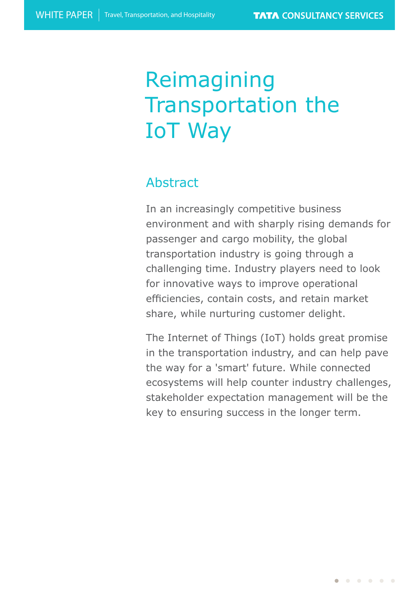# Reimagining Transportation the IoT Way

## Abstract

In an increasingly competitive business environment and with sharply rising demands for passenger and cargo mobility, the global transportation industry is going through a challenging time. Industry players need to look for innovative ways to improve operational efficiencies, contain costs, and retain market share, while nurturing customer delight.

The Internet of Things (IoT) holds great promise in the transportation industry, and can help pave the way for a 'smart' future. While connected ecosystems will help counter industry challenges, stakeholder expectation management will be the key to ensuring success in the longer term.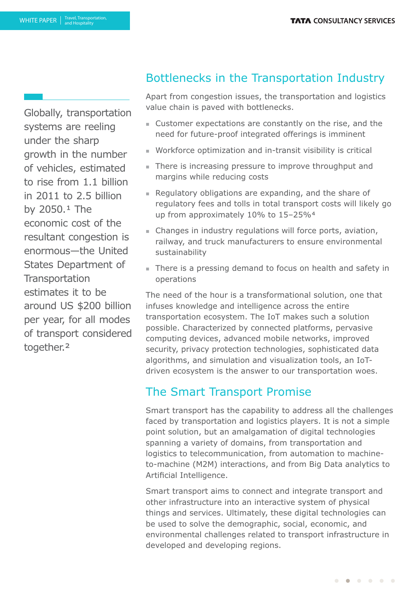Globally, transportation systems are reeling under the sharp growth in the number of vehicles, estimated to rise from 1.1 billion in 2011 to 2.5 billion by  $2050.<sup>1</sup>$  The economic cost of the resultant congestion is enormous—the United States Department of **Transportation** estimates it to be around US \$200 billion per year, for all modes of transport considered together.<sup>2</sup>

### Bottlenecks in the Transportation Industry

Apart from congestion issues, the transportation and logistics value chain is paved with bottlenecks.

- <sup>n</sup> Customer expectations are constantly on the rise, and the need for future-proof integrated offerings is imminent
- Workforce optimization and in-transit visibility is critical
- There is increasing pressure to improve throughput and margins while reducing costs
- **Regulatory obligations are expanding, and the share of** regulatory fees and tolls in total transport costs will likely go up from approximately 10% to 15-25%<sup>4</sup>
- n Changes in industry regulations will force ports, aviation, railway, and truck manufacturers to ensure environmental sustainability
- There is a pressing demand to focus on health and safety in operations

The need of the hour is a transformational solution, one that infuses knowledge and intelligence across the entire transportation ecosystem. The IoT makes such a solution possible. Characterized by connected platforms, pervasive computing devices, advanced mobile networks, improved security, privacy protection technologies, sophisticated data algorithms, and simulation and visualization tools, an IoTdriven ecosystem is the answer to our transportation woes.

### The Smart Transport Promise

Smart transport has the capability to address all the challenges faced by transportation and logistics players. It is not a simple point solution, but an amalgamation of digital technologies spanning a variety of domains, from transportation and logistics to telecommunication, from automation to machineto-machine (M2M) interactions, and from Big Data analytics to Artificial Intelligence.

Smart transport aims to connect and integrate transport and other infrastructure into an interactive system of physical things and services. Ultimately, these digital technologies can be used to solve the demographic, social, economic, and environmental challenges related to transport infrastructure in developed and developing regions.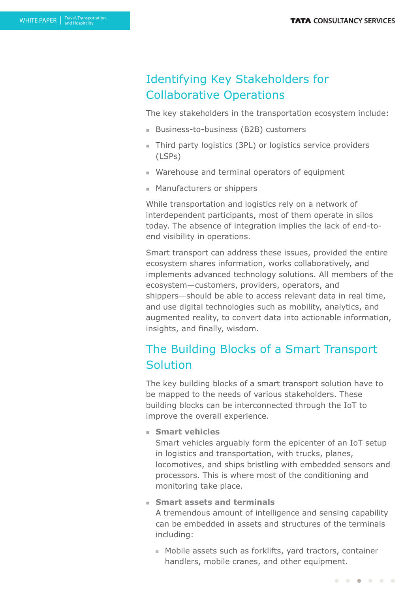### Identifying Key Stakeholders for Collaborative Operations

The key stakeholders in the transportation ecosystem include:

- Business-to-business (B2B) customers
- Third party logistics (3PL) or logistics service providers (LSPs)
- Warehouse and terminal operators of equipment
- Manufacturers or shippers

While transportation and logistics rely on a network of interdependent participants, most of them operate in silos today. The absence of integration implies the lack of end-toend visibility in operations.

Smart transport can address these issues, provided the entire ecosystem shares information, works collaboratively, and implements advanced technology solutions. All members of the ecosystem—customers, providers, operators, and shippers—should be able to access relevant data in real time, and use digital technologies such as mobility, analytics, and augmented reality, to convert data into actionable information, insights, and finally, wisdom.

### The Building Blocks of a Smart Transport Solution

The key building blocks of a smart transport solution have to be mapped to the needs of various stakeholders. These building blocks can be interconnected through the IoT to improve the overall experience.

**E** Smart vehicles

Smart vehicles arguably form the epicenter of an IoT setup in logistics and transportation, with trucks, planes, locomotives, and ships bristling with embedded sensors and processors. This is where most of the conditioning and monitoring take place.

### **Example 3 Smart assets and terminals**

A tremendous amount of intelligence and sensing capability can be embedded in assets and structures of the terminals including:

<sup>n</sup> Mobile assets such as forklifts, yard tractors, container handlers, mobile cranes, and other equipment.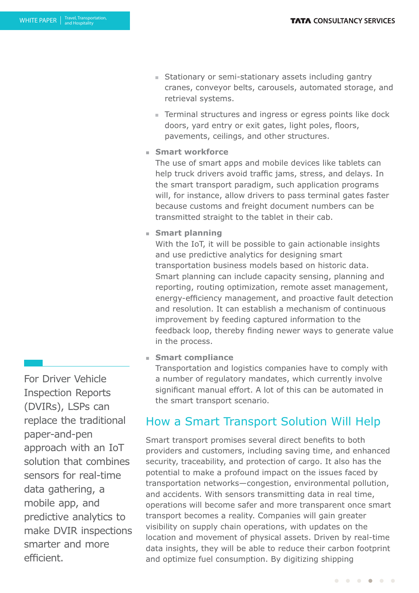- **Example 3** Stationary assets including gantry cranes, conveyor belts, carousels, automated storage, and retrieval systems.
- Terminal structures and ingress or egress points like dock doors, yard entry or exit gates, light poles, floors, pavements, ceilings, and other structures.
- **n** Smart workforce

The use of smart apps and mobile devices like tablets can help truck drivers avoid traffic jams, stress, and delays. In the smart transport paradigm, such application programs will, for instance, allow drivers to pass terminal gates faster because customs and freight document numbers can be transmitted straight to the tablet in their cab.

<sup>n</sup> **Smart planning**

With the IoT, it will be possible to gain actionable insights and use predictive analytics for designing smart transportation business models based on historic data. Smart planning can include capacity sensing, planning and reporting, routing optimization, remote asset management, energy-efficiency management, and proactive fault detection and resolution. It can establish a mechanism of continuous improvement by feeding captured information to the feedback loop, thereby finding newer ways to generate value in the process.

**Example Smart compliance** 

Transportation and logistics companies have to comply with a number of regulatory mandates, which currently involve significant manual effort. A lot of this can be automated in the smart transport scenario.

### How a Smart Transport Solution Will Help

Smart transport promises several direct benefits to both providers and customers, including saving time, and enhanced security, traceability, and protection of cargo. It also has the potential to make a profound impact on the issues faced by transportation networks—congestion, environmental pollution, and accidents. With sensors transmitting data in real time, operations will become safer and more transparent once smart transport becomes a reality. Companies will gain greater visibility on supply chain operations, with updates on the location and movement of physical assets. Driven by real-time data insights, they will be able to reduce their carbon footprint and optimize fuel consumption. By digitizing shipping

For Driver Vehicle Inspection Reports (DVIRs), LSPs can replace the traditional paper-and-pen approach with an IoT solution that combines sensors for real-time data gathering, a mobile app, and predictive analytics to make DVIR inspections smarter and more efficient.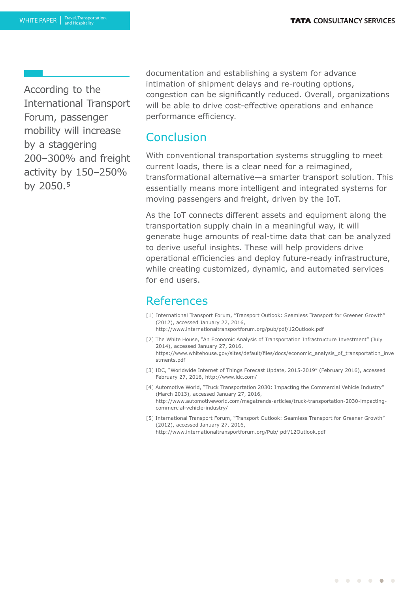According to the International Transport Forum, passenger mobility will increase by a staggering 200–300% and freight activity by 150–250% by 2050.<sup>5</sup>

documentation and establishing a system for advance intimation of shipment delays and re-routing options, congestion can be significantly reduced. Overall, organizations will be able to drive cost-effective operations and enhance performance efficiency.

### Conclusion

With conventional transportation systems struggling to meet current loads, there is a clear need for a reimagined, transformational alternative—a smarter transport solution. This essentially means more intelligent and integrated systems for moving passengers and freight, driven by the IoT.

As the IoT connects different assets and equipment along the transportation supply chain in a meaningful way, it will generate huge amounts of real-time data that can be analyzed to derive useful insights. These will help providers drive operational efficiencies and deploy future-ready infrastructure, while creating customized, dynamic, and automated services for end users.

### References

- [1] International Transport Forum, "Transport Outlook: Seamless Transport for Greener Growth" (2012), accessed January 27, 2016, http://www.internationaltransportforum.org/pub/pdf/12Outlook.pdf
- [2] The White House, "An Economic Analysis of Transportation Infrastructure Investment" (July 2014), accessed January 27, 2016, https://www.whitehouse.gov/sites/default/files/docs/economic\_analysis\_of\_transportation\_inve stments.pdf
- [3] IDC, "Worldwide Internet of Things Forecast Update, 2015-2019" (February 2016), accessed February 27, 2016, http://www.idc.com/
- [4] Automotive World, "Truck Transportation 2030: Impacting the Commercial Vehicle Industry" (March 2013), accessed January 27, 2016, http://www.automotiveworld.com/megatrends-articles/truck-transportation-2030-impactingcommercial-vehicle-industry/
- [5] International Transport Forum, "Transport Outlook: Seamless Transport for Greener Growth" (2012), accessed January 27, 2016, http://www.internationaltransportforum.org/Pub/ pdf/12Outlook.pdf